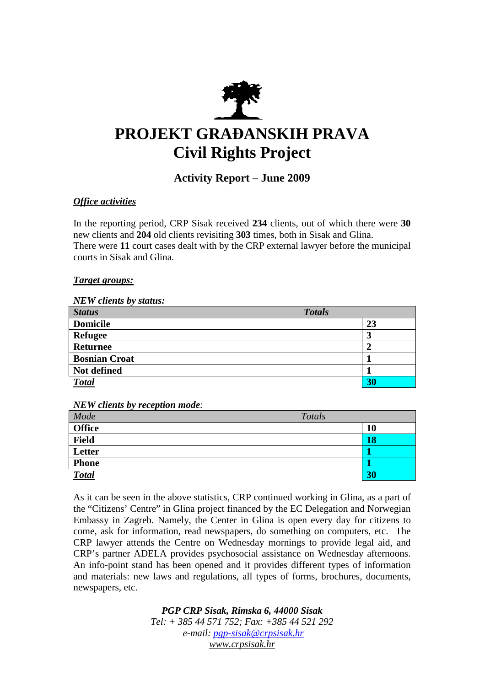

# **PROJEKT GRAĐANSKIH PRAVA Civil Rights Project**

## **Activity Report – June 2009**

### *Office activities*

In the reporting period, CRP Sisak received **234** clients, out of which there were **30**  new clients and **204** old clients revisiting **303** times, both in Sisak and Glina. There were **11** court cases dealt with by the CRP external lawyer before the municipal courts in Sisak and Glina.

#### *Target groups:*

#### *NEW clients by status:*

| <b>Status</b>        | <b>Totals</b> |
|----------------------|---------------|
| <b>Domicile</b>      | 23            |
| <b>Refugee</b>       | 3             |
| <b>Returnee</b>      |               |
| <b>Bosnian Croat</b> |               |
| Not defined          |               |
| <b>Total</b>         | 30            |

#### *NEW clients by reception mode:*

| Mode          | Totals    |
|---------------|-----------|
| <b>Office</b> | <b>10</b> |
| <b>Field</b>  | <b>18</b> |
| Letter        |           |
| <b>Phone</b>  |           |
| <b>Total</b>  | 30        |

As it can be seen in the above statistics, CRP continued working in Glina, as a part of the "Citizens' Centre" in Glina project financed by the EC Delegation and Norwegian Embassy in Zagreb. Namely, the Center in Glina is open every day for citizens to come, ask for information, read newspapers, do something on computers, etc. The CRP lawyer attends the Centre on Wednesday mornings to provide legal aid, and CRP's partner ADELA provides psychosocial assistance on Wednesday afternoons. An info-point stand has been opened and it provides different types of information and materials: new laws and regulations, all types of forms, brochures, documents, newspapers, etc.

> *PGP CRP Sisak, Rimska 6, 44000 Sisak Tel: + 385 44 571 752; Fax: +385 44 521 292 e-mail: pgp-sisak@crpsisak.hr www.crpsisak.hr*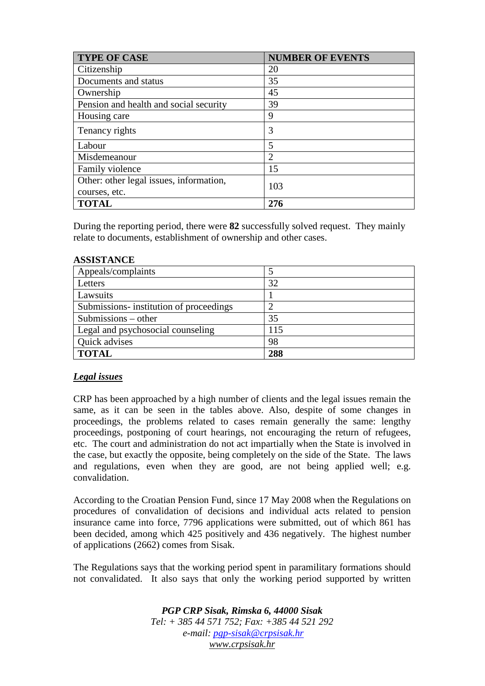| <b>TYPE OF CASE</b>                     | <b>NUMBER OF EVENTS</b> |
|-----------------------------------------|-------------------------|
| Citizenship                             | 20                      |
| Documents and status                    | 35                      |
| Ownership                               | 45                      |
| Pension and health and social security  | 39                      |
| Housing care                            | 9                       |
| Tenancy rights                          | 3                       |
| Labour                                  | 5                       |
| Misdemeanour                            | 2                       |
| Family violence                         | 15                      |
| Other: other legal issues, information, | 103                     |
| courses, etc.                           |                         |
| <b>TOTAL</b>                            | 276                     |

During the reporting period, there were **82** successfully solved request. They mainly relate to documents, establishment of ownership and other cases.

#### **ASSISTANCE**

| Appeals/complaints                      |     |
|-----------------------------------------|-----|
| Letters                                 | 32  |
| Lawsuits                                |     |
| Submissions- institution of proceedings |     |
| Submissions $-$ other                   | 35  |
| Legal and psychosocial counseling       | 115 |
| Quick advises                           | 98  |
| <b>TOTAL</b>                            | 288 |

#### *Legal issues*

CRP has been approached by a high number of clients and the legal issues remain the same, as it can be seen in the tables above. Also, despite of some changes in proceedings, the problems related to cases remain generally the same: lengthy proceedings, postponing of court hearings, not encouraging the return of refugees, etc. The court and administration do not act impartially when the State is involved in the case, but exactly the opposite, being completely on the side of the State. The laws and regulations, even when they are good, are not being applied well; e.g. convalidation.

According to the Croatian Pension Fund, since 17 May 2008 when the Regulations on procedures of convalidation of decisions and individual acts related to pension insurance came into force, 7796 applications were submitted, out of which 861 has been decided, among which 425 positively and 436 negatively. The highest number of applications (2662) comes from Sisak.

The Regulations says that the working period spent in paramilitary formations should not convalidated. It also says that only the working period supported by written

> *PGP CRP Sisak, Rimska 6, 44000 Sisak Tel: + 385 44 571 752; Fax: +385 44 521 292 e-mail: pgp-sisak@crpsisak.hr www.crpsisak.hr*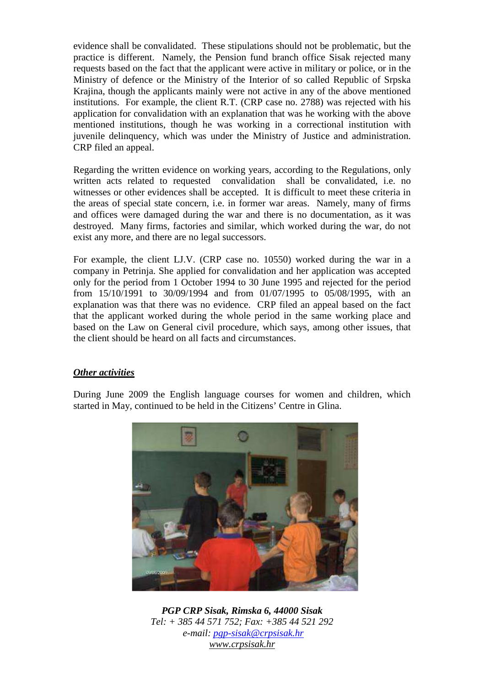evidence shall be convalidated. These stipulations should not be problematic, but the practice is different. Namely, the Pension fund branch office Sisak rejected many requests based on the fact that the applicant were active in military or police, or in the Ministry of defence or the Ministry of the Interior of so called Republic of Srpska Krajina, though the applicants mainly were not active in any of the above mentioned institutions. For example, the client R.T. (CRP case no. 2788) was rejected with his application for convalidation with an explanation that was he working with the above mentioned institutions, though he was working in a correctional institution with juvenile delinquency, which was under the Ministry of Justice and administration. CRP filed an appeal.

Regarding the written evidence on working years, according to the Regulations, only written acts related to requested convalidation shall be convalidated, i.e. no witnesses or other evidences shall be accepted. It is difficult to meet these criteria in the areas of special state concern, i.e. in former war areas. Namely, many of firms and offices were damaged during the war and there is no documentation, as it was destroyed. Many firms, factories and similar, which worked during the war, do not exist any more, and there are no legal successors.

For example, the client LJ.V. (CRP case no. 10550) worked during the war in a company in Petrinja. She applied for convalidation and her application was accepted only for the period from 1 October 1994 to 30 June 1995 and rejected for the period from 15/10/1991 to 30/09/1994 and from 01/07/1995 to 05/08/1995, with an explanation was that there was no evidence. CRP filed an appeal based on the fact that the applicant worked during the whole period in the same working place and based on the Law on General civil procedure, which says, among other issues, that the client should be heard on all facts and circumstances.

#### *Other activities*

During June 2009 the English language courses for women and children, which started in May, continued to be held in the Citizens' Centre in Glina.



*PGP CRP Sisak, Rimska 6, 44000 Sisak Tel: + 385 44 571 752; Fax: +385 44 521 292 e-mail: pgp-sisak@crpsisak.hr www.crpsisak.hr*